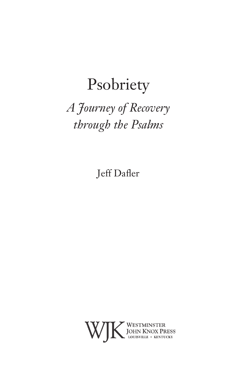# Psobriety

## *A Journey of Recovery through the Psalms*

Jeff Dafler

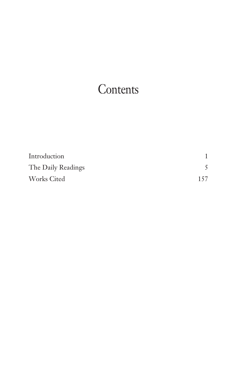## **Contents**

| Introduction       |     |
|--------------------|-----|
| The Daily Readings |     |
| <b>Works Cited</b> | 157 |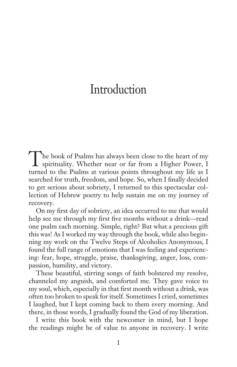#### Introduction

The book of Psalms has always been close to the heart of my spirituality. Whether near or far from a Higher Power, I turned to the Psalms at various points throughout my life as I searched for truth, freedom, and hope. So, when I finally decided to get serious about sobriety, I returned to this spectacular collection of Hebrew poetry to help sustain me on my journey of recovery.

On my first day of sobriety, an idea occurred to me that would help see me through my first five months without a drink—read one psalm each morning. Simple, right? But what a precious gift this was! As I worked my way through the book, while also beginning my work on the Twelve Steps of Alcoholics Anonymous, I found the full range of emotions that I was feeling and experiencing: fear, hope, struggle, praise, thanksgiving, anger, loss, compassion, humility, and victory.

These beautiful, stirring songs of faith bolstered my resolve, channeled my anguish, and comforted me. They gave voice to my soul, which, especially in that first month without a drink, was often too broken to speak for itself. Sometimes I cried, sometimes I laughed, but I kept coming back to them every morning. And there, in those words, I gradually found the God of my liberation.

I write this book with the newcomer in mind, but I hope the readings might be of value to anyone in recovery. I write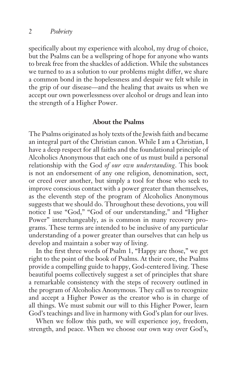specifically about my experience with alcohol, my drug of choice, but the Psalms can be a wellspring of hope for anyone who wants to break free from the shackles of addiction. While the substances we turned to as a solution to our problems might differ, we share a common bond in the hopelessness and despair we felt while in the grip of our disease—and the healing that awaits us when we accept our own powerlessness over alcohol or drugs and lean into the strength of a Higher Power.

#### **About the Psalms**

The Psalms originated as holy texts of the Jewish faith and became an integral part of the Christian canon. While I am a Christian, I have a deep respect for all faiths and the foundational principle of Alcoholics Anonymous that each one of us must build a personal relationship with the God *of our own understanding*. This book is not an endorsement of any one religion, denomination, sect, or creed over another, but simply a tool for those who seek to improve conscious contact with a power greater than themselves, as the eleventh step of the program of Alcoholics Anonymous suggests that we should do. Throughout these devotions, you will notice I use "God," "God of our understanding," and "Higher Power" interchangeably, as is common in many recovery programs. These terms are intended to be inclusive of any particular understanding of a power greater than ourselves that can help us develop and maintain a sober way of living.

In the first three words of Psalm 1, "Happy are those," we get right to the point of the book of Psalms. At their core, the Psalms provide a compelling guide to happy, God-centered living. These beautiful poems collectively suggest a set of principles that share a remarkable consistency with the steps of recovery outlined in the program of Alcoholics Anonymous. They call us to recognize and accept a Higher Power as the creator who is in charge of all things. We must submit our will to this Higher Power, learn God's teachings and live in harmony with God's plan for our lives.

When we follow this path, we will experience joy, freedom, strength, and peace. When we choose our own way over God's,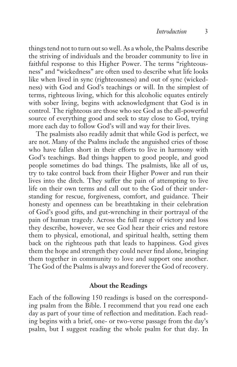things tend not to turn out so well. As a whole, the Psalms describe the striving of individuals and the broader community to live in faithful response to this Higher Power. The terms "righteousness" and "wickedness" are often used to describe what life looks like when lived in sync (righteousness) and out of sync (wickedness) with God and God's teachings or will. In the simplest of terms, righteous living, which for this alcoholic equates entirely with sober living, begins with acknowledgment that God is in control. The righteous are those who see God as the all-powerful source of everything good and seek to stay close to God, trying more each day to follow God's will and way for their lives.

The psalmists also readily admit that while God is perfect, we are not. Many of the Psalms include the anguished cries of those who have fallen short in their efforts to live in harmony with God's teachings. Bad things happen to good people, and good people sometimes do bad things. The psalmists, like all of us, try to take control back from their Higher Power and run their lives into the ditch. They suffer the pain of attempting to live life on their own terms and call out to the God of their understanding for rescue, forgiveness, comfort, and guidance. Their honesty and openness can be breathtaking in their celebration of God's good gifts, and gut-wrenching in their portrayal of the pain of human tragedy. Across the full range of victory and loss they describe, however, we see God hear their cries and restore them to physical, emotional, and spiritual health, setting them back on the righteous path that leads to happiness. God gives them the hope and strength they could never find alone, bringing them together in community to love and support one another. The God of the Psalms is always and forever the God of recovery.

#### **About the Readings**

Each of the following 150 readings is based on the corresponding psalm from the Bible. I recommend that you read one each day as part of your time of reflection and meditation. Each reading begins with a brief, one- or two-verse passage from the day's psalm, but I suggest reading the whole psalm for that day. In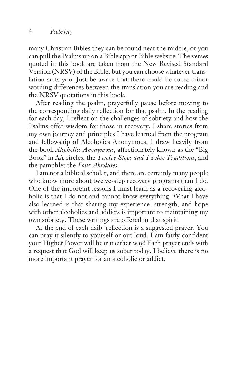many Christian Bibles they can be found near the middle, or you can pull the Psalms up on a Bible app or Bible website. The verses quoted in this book are taken from the New Revised Standard Version (NRSV) of the Bible, but you can choose whatever translation suits you. Just be aware that there could be some minor wording differences between the translation you are reading and the NRSV quotations in this book.

After reading the psalm, prayerfully pause before moving to the corresponding daily reflection for that psalm. In the reading for each day, I reflect on the challenges of sobriety and how the Psalms offer wisdom for those in recovery. I share stories from my own journey and principles I have learned from the program and fellowship of Alcoholics Anonymous. I draw heavily from the book *Alcoholics Anonymous*, affectionately known as the "Big Book" in AA circles, the *Twelve Steps and Twelve Traditions*, and the pamphlet the *Four Absolutes*.

I am not a biblical scholar, and there are certainly many people who know more about twelve-step recovery programs than I do. One of the important lessons I must learn as a recovering alcoholic is that I do not and cannot know everything. What I have also learned is that sharing my experience, strength, and hope with other alcoholics and addicts is important to maintaining my own sobriety. These writings are offered in that spirit.

At the end of each daily reflection is a suggested prayer. You can pray it silently to yourself or out loud. I am fairly confident your Higher Power will hear it either way! Each prayer ends with a request that God will keep us sober today. I believe there is no more important prayer for an alcoholic or addict.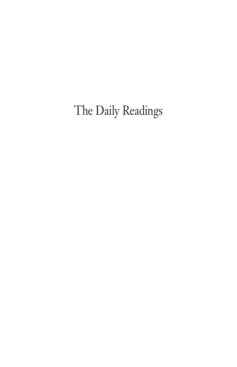The Daily Readings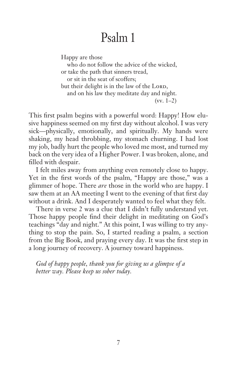Happy are those

who do not follow the advice of the wicked, or take the path that sinners tread, or sit in the seat of scoffers; but their delight is in the law of the LORD, and on his law they meditate day and night. (vv. 1–2)

This first psalm begins with a powerful word: Happy! How elusive happiness seemed on my first day without alcohol. I was very sick—physically, emotionally, and spiritually. My hands were shaking, my head throbbing, my stomach churning. I had lost my job, badly hurt the people who loved me most, and turned my back on the very idea of a Higher Power. I was broken, alone, and filled with despair.

I felt miles away from anything even remotely close to happy. Yet in the first words of the psalm, "Happy are those," was a glimmer of hope. There *are* those in the world who are happy. I saw them at an AA meeting I went to the evening of that first day without a drink. And I desperately wanted to feel what they felt.

There in verse 2 was a clue that I didn't fully understand yet. Those happy people find their delight in meditating on God's teachings "day and night." At this point, I was willing to try anything to stop the pain. So, I started reading a psalm, a section from the Big Book, and praying every day. It was the first step in a long journey of recovery. A journey toward happiness.

*God of happy people, thank you for giving us a glimpse of a better way. Please keep us sober today.*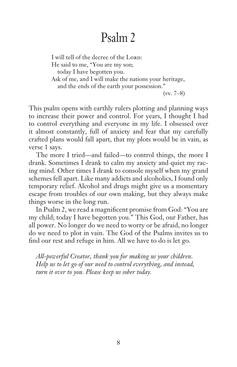I will tell of the decree of the LORD: He said to me, "You are my son; today I have begotten you. Ask of me, and I will make the nations your heritage, and the ends of the earth your possession." (vv. 7–8)

This psalm opens with earthly rulers plotting and planning ways to increase their power and control. For years, I thought I had to control everything and everyone in my life. I obsessed over it almost constantly, full of anxiety and fear that my carefully crafted plans would fall apart, that my plots would be in vain, as verse 1 says.

The more I tried—and failed—to control things, the more I drank. Sometimes I drank to calm my anxiety and quiet my racing mind. Other times I drank to console myself when my grand schemes fell apart. Like many addicts and alcoholics, I found only temporary relief. Alcohol and drugs might give us a momentary escape from troubles of our own making, but they always make things worse in the long run.

In Psalm 2, we read a magnificent promise from God: "You are my child; today I have begotten you." This God, our Father, has all power. No longer do we need to worry or be afraid, no longer do we need to plot in vain. The God of the Psalms invites us to find our rest and refuge in him. All we have to do is let go.

*All-powerful Creator, thank you for making us your children. Help us to let go of our need to control everything, and instead, turn it over to you. Please keep us sober today.*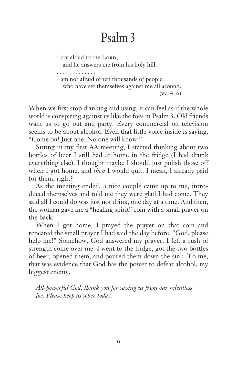I cry aloud to the Lord,

and he answers me from his holy hill.

. . . . . . . . . . . . .

I am not afraid of ten thousands of people who have set themselves against me all around. (vv. 4, 6)

When we first stop drinking and using, it can feel as if the whole world is conspiring against us like the foes in Psalm 3. Old friends want us to go out and party. Every commercial on television seems to be about alcohol. Even that little voice inside is saying, "Come on! Just one. No one will know!"

Sitting in my first AA meeting, I started thinking about two bottles of beer I still had at home in the fridge (I had drunk everything else). I thought maybe I should just polish those off when I got home, and *then* I would quit. I mean, I already paid for them, right?

As the meeting ended, a nice couple came up to me, introduced themselves and told me they were glad I had come. They said all I could do was just not drink, one day at a time. And then, the woman gave me a "healing spirit" coin with a small prayer on the back.

When I got home, I prayed the prayer on that coin and repeated the small prayer I had said the day before: "God, please help me!" Somehow, God answered my prayer. I felt a rush of strength come over me. I went to the fridge, got the two bottles of beer, opened them, and poured them down the sink. To me, that was evidence that God has the power to defeat alcohol, my biggest enemy.

*All-powerful God, thank you for saving us from our relentless foe. Please keep us sober today.*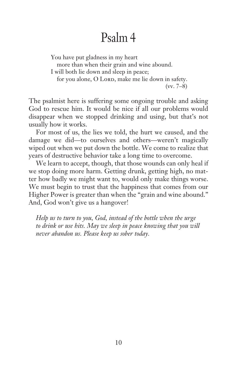You have put gladness in my heart more than when their grain and wine abound. I will both lie down and sleep in peace; for you alone, O Lord, make me lie down in safety. (vv. 7–8)

The psalmist here is suffering some ongoing trouble and asking God to rescue him. It would be nice if all our problems would disappear when we stopped drinking and using, but that's not usually how it works.

For most of us, the lies we told, the hurt we caused, and the damage we did—to ourselves and others—weren't magically wiped out when we put down the bottle. We come to realize that years of destructive behavior take a long time to overcome.

We learn to accept, though, that those wounds can only heal if we stop doing more harm. Getting drunk, getting high, no matter how badly we might want to, would only make things worse. We must begin to trust that the happiness that comes from our Higher Power is greater than when the "grain and wine abound." And, God won't give us a hangover!

*Help us to turn to you, God, instead of the bottle when the urge to drink or use hits. May we sleep in peace knowing that you will never abandon us. Please keep us sober today.*